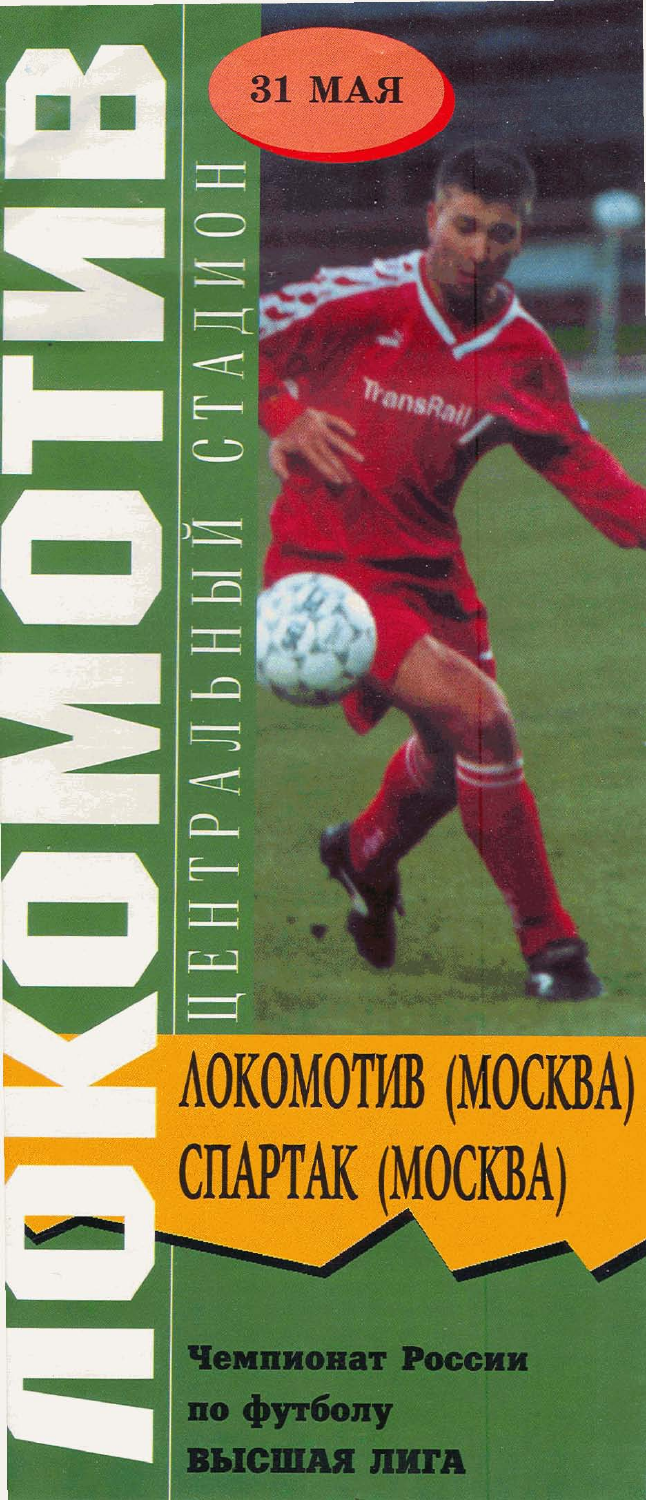# ЛОКОМОТИВ (МОСКВА) СПАРТАК (МОСКВА)

**31 MAA** 

**TransRall** 

 $\Box$ 

┲

 $\overline{\phantom{0}}$ 

Ň

 $\overline{\phantom{0}}$ 

 $\overline{1}$ 

 $\equiv$ 

 $\blacktriangleleft$ 

75

 $\mathbf{T}$ 

Чемпионат России по футболу **ВЫСШАЯ ЛИГА**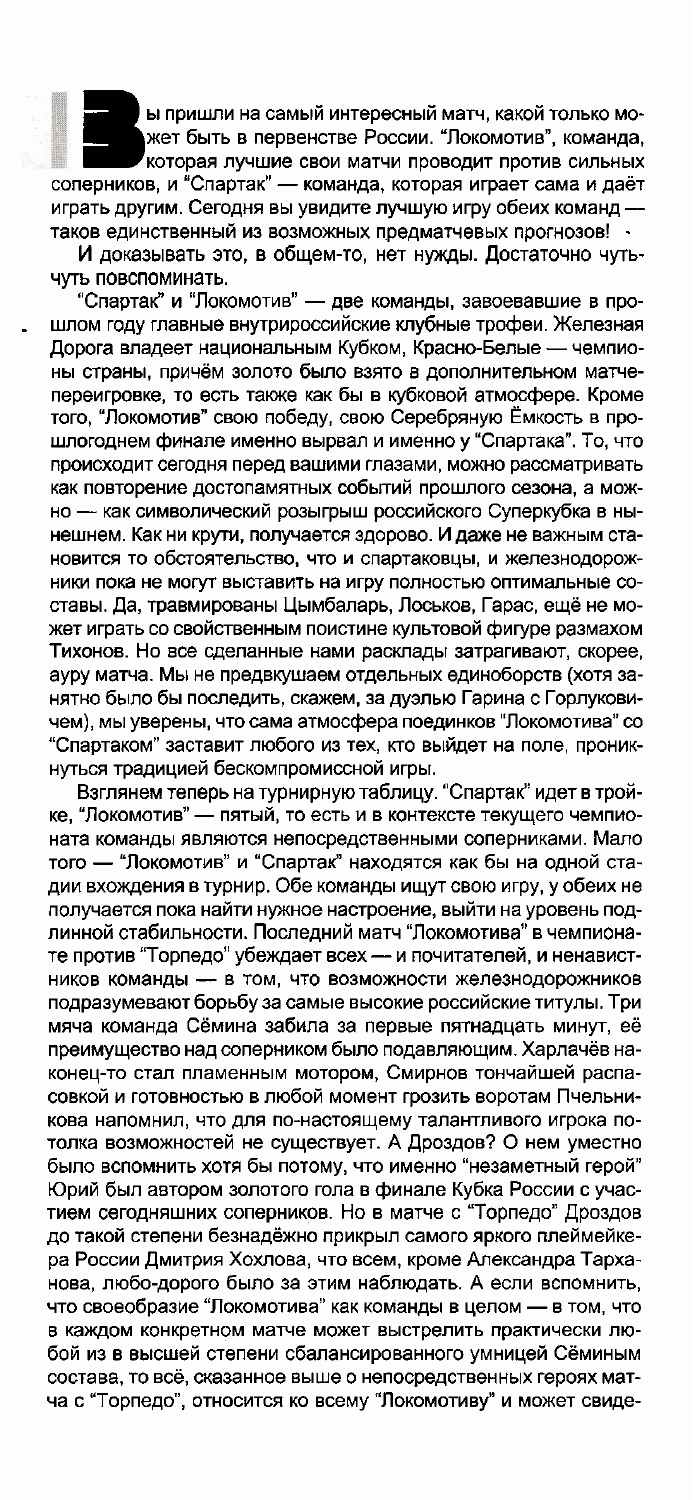ы пришли на самый интересный матч, какой только может быть в первенстве России. "Локомотив", команда, которая лучшие свои матчи проводит против сильных соперников, и "Спартак" - команда, которая играет сама и даёт играть другим. Сегодня вы увидите лучшую игру обеих команд таков единственный из возможных предматчевых прогнозов! -

И доказывать это, в общем-то, нет нужды. Достаточно чутьчуть повспоминать.

"Спартак" и "Локомотив" - две команды, завоевавшие в прошлом году главные внутрироссийские клубные трофеи. Железная Дорога владеет национальным Кубком, Красно-Белые - чемпионы страны, причём золото было взято в дополнительном матчепереигровке, то есть также как бы в кубковой атмосфере. Кроме того, "Локомотив" свою победу, свою Серебряную Ёмкость в прошлогоднем финале именно вырвал и именно у "Спартака". То, что происходит сегодня перед вашими глазами, можно рассматривать как повторение достопамятных событий прошлого сезона, а можно - как символический розыгрыш российского Суперкубка в нынешнем. Как ни крути, получается здорово. И даже не важным становится то обстоятельство, что и спартаковцы, и железнодорожники пока не могут выставить на игру полностью оптимальные составы. Да, травмированы Цымбаларь, Лоськов, Гарас, ещё не может играть со свойственным поистине культовой фигуре размахом Тихонов. Но все сделанные нами расклады затрагивают, скорее, ауру матча. Мы не предвкушаем отдельных единоборств (хотя занятно было бы последить, скажем, за дуэлью Гарина с Горлуковичем), мы уверены, что сама атмосфера поединков "Локомотива" со "Спартаком" заставит любого из тех, кто выйдет на поле, проникнуться традицией бескомпромиссной игры.

Взглянем теперь на турнирную таблицу. "Спартак" идет в тройке, "Локомотив" — пятый, то есть и в контексте текущего чемпионата команды являются непосредственными соперниками. Мало того - "Локомотив" и "Спартак" находятся как бы на одной стадии вхождения в турнир. Обе команды ищут свою игру, у обеих не получается пока найти нужное настроение, выйти на уровень подлинной стабильности. Последний матч "Локомотива" в чемпионате против "Торпедо" убеждает всех - и почитателей, и ненавистников команды - в том, что возможности железнодорожников подразумевают борьбу за самые высокие российские титулы. Три мяча команда Сёмина забила за первые пятнадцать минут, её преимущество над соперником было подавляющим. Харлачёв наконец-то стал пламенным мотором, Смирнов тончайшей распасовкой и готовностью в любой момент грозить воротам Пчельникова напомнил, что для по-настоящему талантливого игрока потолка возможностей не существует. А Дроздов? О нем уместно было вспомнить хотя бы потому, что именно "незаметный герой" Юрий был автором золотого гола в финале Кубка России с участием сегодняшних соперников. Но в матче с "Торпедо" Дроздов до такой степени безнадёжно прикрыл самого яркого плеймейкера России Дмитрия Хохлова, что всем, кроме Александра Тарханова, любо-дорого было за этим наблюдать. А если вспомнить, что своеобразие "Локомотива" как команды в целом - в том, что в каждом конкретном матче может выстрелить практически любой из в высшей степени сбалансированного умницей Сёминым состава, то всё, сказанное выше о непосредственных героях матча с "Торпедо", относится ко всему "Локомотиву" и может свиде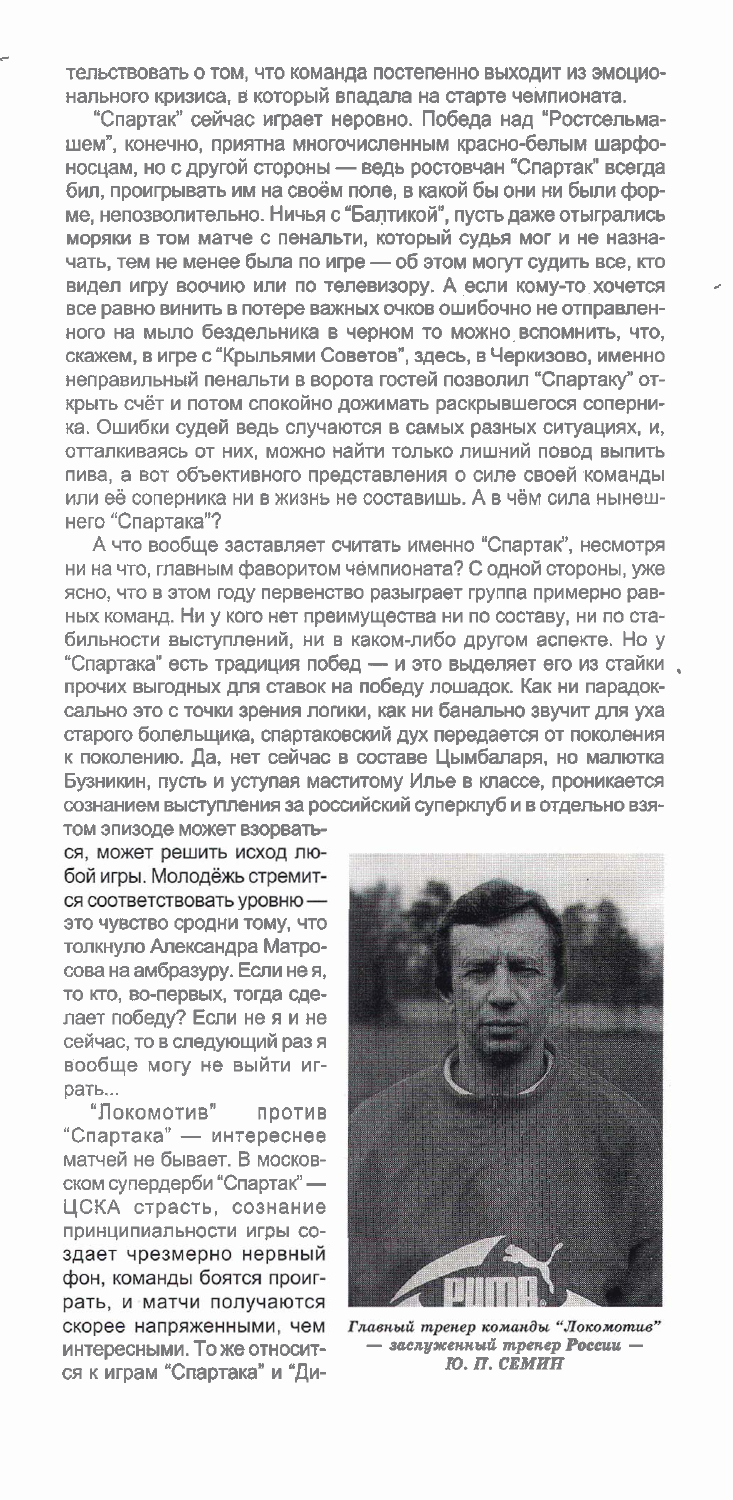тельствовать о том, что команда постепенно выходит из эмоционального кризиса, в который впадала на старте чемпионата.

"Спартак" сейчас играет неровно. Победа над "Ростсельмашем", конечно, приятна многочисленным красно-белым шарфоносцам, но с другой стороны - ведь ростовчан "Спартак" всегда бил, проигрывать им на своём поле, в какой бы они ни были форме, непозволительно. Ничья с "Балтикой", пусть даже отыгрались моряки в том матче с пенальти, который судья мог и не назначать, тем не менее была по игре - об этом могут судить все, кто видел игру воочию или по телевизору. А если кому-то хочется все равно винить в потере важных очков ошибочно не отправленного на мыло бездельника в черном то можно вспомнить, что, скажем, в игре с "Крыльями Советов", здесь, в Черкизово, именно неправильный пенальти в ворота гостей позволил "Спартаку" открыть счёт и потом спокойно дожимать раскрывшегося соперника. Ошибки судей ведь случаются в самых разных ситуациях, и, отталкиваясь от них, можно найти только лишний повод выпить пива, а вот объективного представления о силе своей команды или её соперника ни в жизнь не составишь. А в чём сила нынешнего "Спартака"?

А что вообще заставляет считать именно "Спартак", несмотря ни на что, главным фаворитом чемпионата? С одной стороны, уже ясно, что в этом году первенство разыграет группа примерно равных команд. Ни у кого нет преимущества ни по составу, ни по стабильности выступлений, ни в каком-либо другом аспекте. Но у "Спартака" есть традиция побед - и это выделяет его из стайки. прочих выгодных для ставок на победу лошадок. Как ни парадоксально это с точки зрения логики, как ни банально звучит для уха старого болельщика, спартаковский дух передается от поколения к поколению. Да, нет сейчас в составе Цымбаларя, но малютка Бузникин, пусть и уступая маститому Илье в классе, проникается сознанием выступления за российский суперклуб и в отдельно взя-

том эпизоде может взорваться, может решить исход любой игры. Молодёжь стремится соответствовать уровню это чувство сродни тому, что толкнуло Александра Матросова на амбразуру. Если не я, то кто, во-первых, тогда сделает победу? Если не я и не сейчас, то в следующий раз я вообще могу не выйти играть...

"Локомотив" против "Спартака" - интереснее матчей не бывает. В московском супердерби "Спартак" -ЦСКА страсть, сознание принципиальности игры создает чрезмерно нервный фон, команды боятся проиграть, и матчи получаются скорее напряженными, чем интересными. То же относится к играм "Спартака" и "Ди-



Главный тренер команды "Локомотив" - заслуженный тренер России -Ю. П. СЕМИН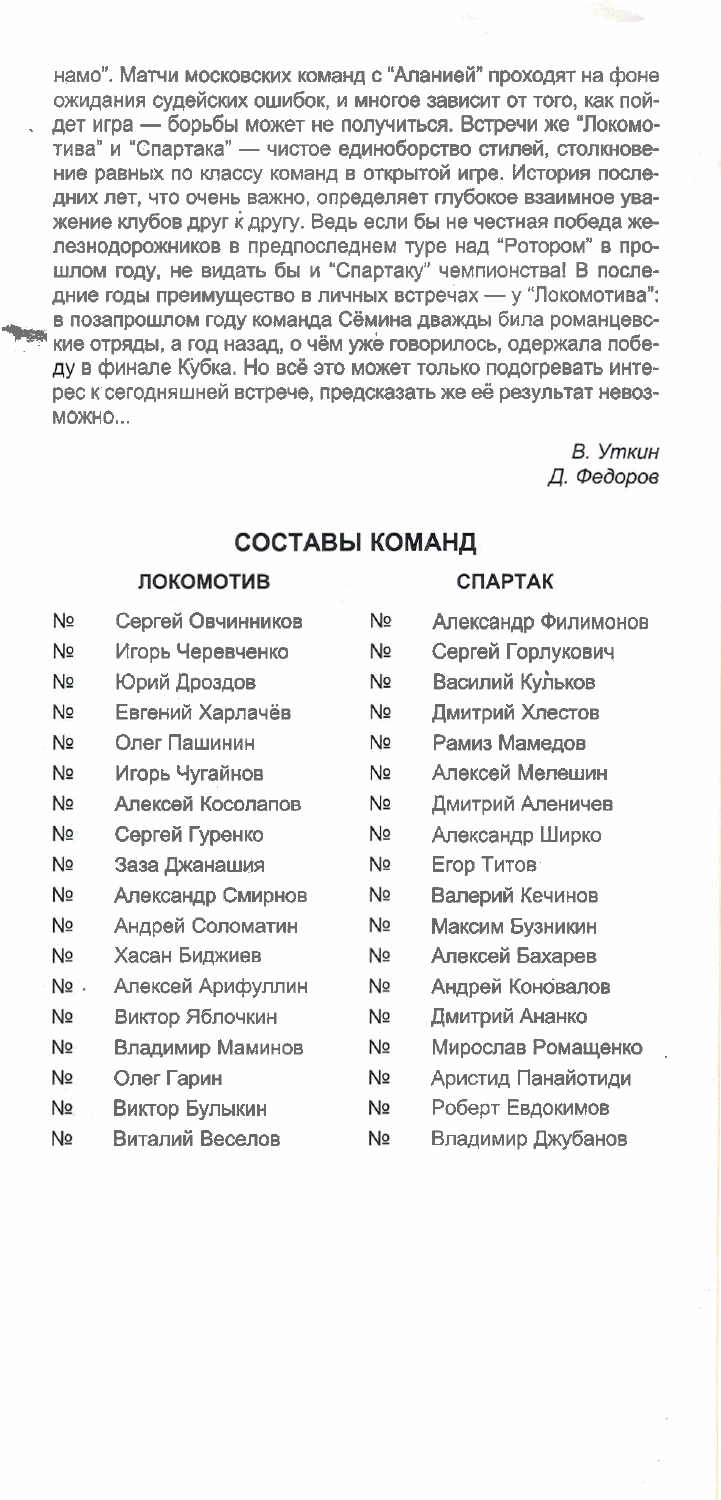намо". Матчи московских команд с "Аланией" проходят на фоне ожидания судейских ошибок, и многое зависит от того, как пойдет игра — борьбы может не получиться. Встречи же "Локомотива" и "Спартака" - чистое единоборство стилей, столкновение равных по классу команд в открытой игре. История последних лет, что очень важно, определяет глубокое взаимное уважение клубов друг к другу. Ведь если бы не честная победа железнодорожников в предпоследнем туре над "Ротором" в прошлом году, не видать бы и "Спартаку" чемпионства! В последние годы преимущество в личных встречах - у "Локомотива": в позапрошлом году команда Сёмина дважды била романцевские отряды, а год назад, о чём уже говорилось, одержала победу в финале Кубка. Но всё это может только подогревать интерес к сегодняшней встрече, предсказать же её результат невоз-**МОЖНО...** 

> В. Уткин Д. Федоров

#### СОСТАВЫ КОМАНД

#### ЛОКОМОТИВ

- No Сергей Овчинников
- N<sub>2</sub> Игорь Черевченко
- N<sub>2</sub> Юрий Дроздов
- No Евгений Харлачёв
- No Олег Пашинин
- No Игорь Чугайнов
- No Алексей Косолапов
- N<sub>2</sub> Сергей Гуренко
- N<sub>2</sub> Заза Джанашия
- N<sub>2</sub> Александр Смирнов
- No Андрей Соломатин
- Хасан Биджиев Nº
- No. Алексей Арифуллин
- No Виктор Яблочкин
- No Владимир Маминов
- N<sub>o</sub> Олег Гарин
- Nº. Виктор Булыкин
- $N<sub>2</sub>$ Виталий Веселов

#### **СПАРТАК**

- No Александр Филимонов Nº Сергей Горлукович Василий Кульков No No Дмитрий Хлестов N<sub>2</sub> Рамиз Мамедов N<sub>2</sub> Алексей Мелешин Nº Дмитрий Аленичев Nº Александр Ширко Nº Егор Титов Nº Валерий Кечинов N<sub>2</sub> Максим Бузникин Nº Алексей Бахарев N<sub>2</sub> Андрей Коновалов
- N<sub>2</sub> Дмитрий Ананко
- Nº Мирослав Ромащенко
- Nº Аристид Панайотиди
- Nº Роберт Евдокимов
- Nº Владимир Джубанов